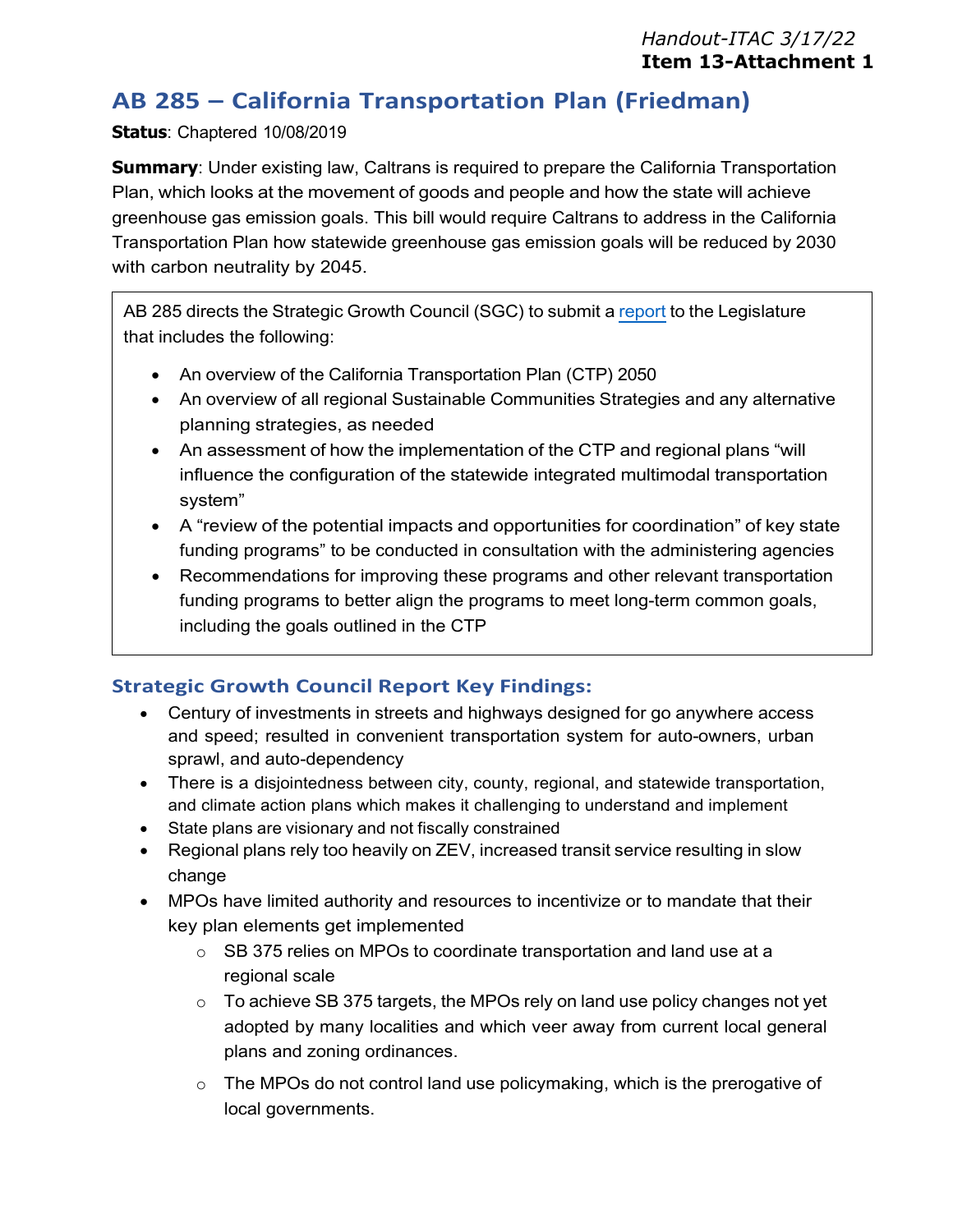# **AB 285 – California Transportation Plan (Friedman)**

### **Status**: Chaptered 10/08/2019

**Summary**: Under existing law, Caltrans is required to prepare the California Transportation Plan, which looks at the movement of goods and people and how the state will achieve greenhouse gas emission goals. This bill would require Caltrans to address in the California Transportation Plan how statewide greenhouse gas emission goals will be reduced by 2030 with carbon neutrality by 2045.

AB 285 directs the Strategic Growth Council (SGC) to submit [a report](https://sgc.ca.gov/resources/docs/20220218-AB_285_REPORT.pdf) to the Legislature that includes the following:

- An overview of the California Transportation Plan (CTP) 2050
- An overview of all regional Sustainable Communities Strategies and any alternative planning strategies, as needed
- An assessment of how the implementation of the CTP and regional plans "will influence the configuration of the statewide integrated multimodal transportation system"
- A "review of the potential impacts and opportunities for coordination" of key state funding programs" to be conducted in consultation with the administering agencies
- Recommendations for improving these programs and other relevant transportation funding programs to better align the programs to meet long-term common goals, including the goals outlined in the CTP

## **Strategic Growth Council Report Key Findings:**

- Century of investments in streets and highways designed for go anywhere access and speed; resulted in convenient transportation system for auto-owners, urban sprawl, and auto-dependency
- There is a disjointedness between city, county, regional, and statewide transportation, and climate action plans which makes it challenging to understand and implement
- State plans are visionary and not fiscally constrained
- Regional plans rely too heavily on ZEV, increased transit service resulting in slow change
- MPOs have limited authority and resources to incentivize or to mandate that their key plan elements get implemented
	- o SB 375 relies on MPOs to coordinate transportation and land use at a regional scale
	- $\circ$  To achieve SB 375 targets, the MPOs rely on land use policy changes not yet adopted by many localities and which veer away from current local general plans and zoning ordinances.
	- $\circ$  The MPOs do not control land use policymaking, which is the prerogative of local governments.